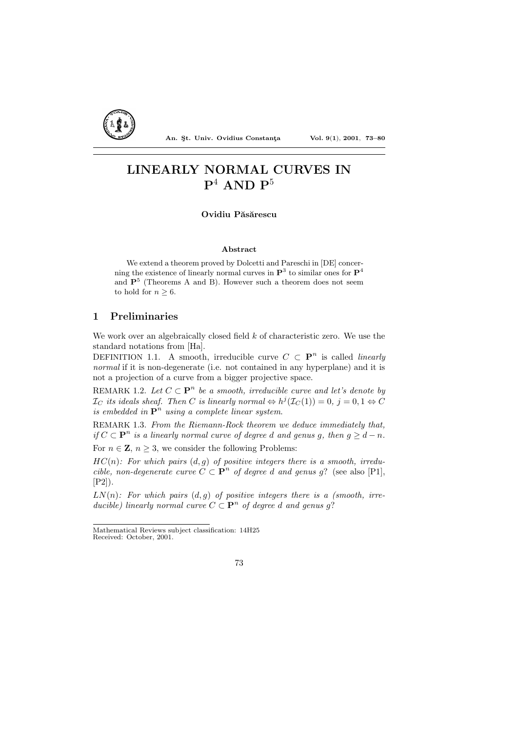

An. Şt. Univ. Ovidius Constanta Vol. 9(1), 2001, 73-80

# LINEARLY NORMAL CURVES IN  $P^4$  AND  $P^5$

Ovidiu Păsărescu

## Abstract

We extend a theorem proved by Dolcetti and Pareschi in [DE] concerning the existence of linearly normal curves in  $\mathbf{P}^3$  to similar ones for  $\mathbf{P}^4$ and  $P<sup>5</sup>$  (Theorems A and B). However such a theorem does not seem to hold for  $n > 6$ .

## 1 Preliminaries

We work over an algebraically closed field  $k$  of characteristic zero. We use the standard notations from [Ha].

DEFINITION 1.1. A smooth, irreducible curve  $C \subset \mathbf{P}^n$  is called *linearly* normal if it is non-degenerate (i.e. not contained in any hyperplane) and it is not a projection of a curve from a bigger projective space.

REMARK 1.2. Let  $C \subset \mathbf{P}^n$  be a smooth, irreducible curve and let's denote by  $\mathcal{I}_C$  its ideals sheaf. Then C is linearly normal  $\Leftrightarrow h^j(\mathcal{I}_C(1))=0, j=0, 1 \Leftrightarrow C$ is embedded in  $\mathbf{P}^n$  using a complete linear system.

REMARK 1.3. From the Riemann-Rock theorem we deduce immediately that, if  $C \subset \mathbf{P}^n$  is a linearly normal curve of degree d and genus g, then  $g \geq d - n$ .

For  $n \in \mathbb{Z}$ ,  $n \geq 3$ , we consider the following Problems:

 $HC(n)$ : For which pairs  $(d, q)$  of positive integers there is a smooth, irreducible, non-degenerate curve  $C \subset \mathbf{P}^n$  of degree d and genus g? (see also [P1], [P2]).

 $LN(n)$ : For which pairs  $(d, g)$  of positive integers there is a (smooth, irreducible) linearly normal curve  $C \subset \mathbf{P}^n$  of degree d and genus g?

Mathematical Reviews subject classification: 14H25 Received: October, 2001.

<sup>73</sup>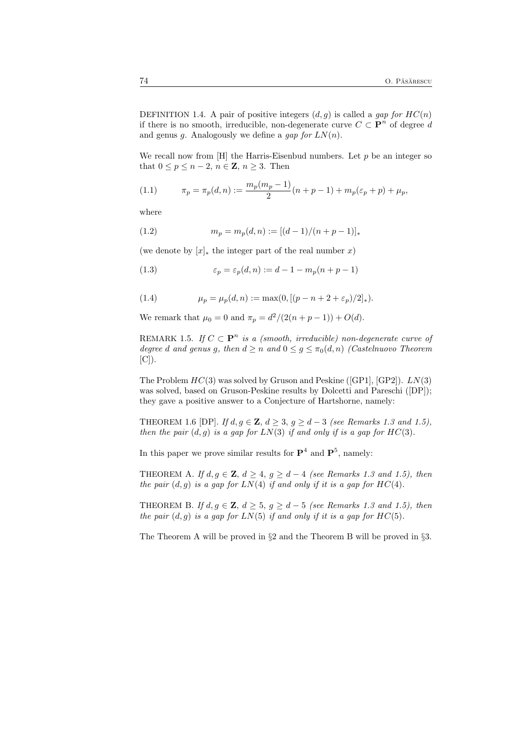DEFINITION 1.4. A pair of positive integers  $(d, g)$  is called a gap for  $HC(n)$ if there is no smooth, irreducible, non-degenerate curve  $C \subset \mathbf{P}^n$  of degree d and genus g. Analogously we define a gap for  $LN(n)$ .

We recall now from  $[H]$  the Harris-Eisenbud numbers. Let  $p$  be an integer so that  $0 \leq p \leq n-2$ ,  $n \in \mathbb{Z}$ ,  $n \geq 3$ . Then

(1.1) 
$$
\pi_p = \pi_p(d, n) := \frac{m_p(m_p - 1)}{2} (n + p - 1) + m_p(\varepsilon_p + p) + \mu_p,
$$

where

(1.2) 
$$
m_p = m_p(d, n) := [(d-1)/(n+p-1)]_*
$$

(we denote by  $[x]_*$  the integer part of the real number x)

(1.3) 
$$
\varepsilon_p = \varepsilon_p(d, n) := d - 1 - m_p(n + p - 1)
$$

(1.4) 
$$
\mu_p = \mu_p(d, n) := \max(0, [(p - n + 2 + \varepsilon_p)/2]_*).
$$

We remark that  $\mu_0 = 0$  and  $\pi_p = d^2/(2(n+p-1)) + O(d)$ .

REMARK 1.5. If  $C \subset \mathbf{P}^n$  is a (smooth, irreducible) non-degenerate curve of degree d and genus g, then  $d \ge n$  and  $0 \le g \le \pi_0(d,n)$  (Castelnuovo Theorem  $[C]$ ).

The Problem  $HC(3)$  was solved by Gruson and Peskine ([GP1], [GP2]).  $LN(3)$ was solved, based on Gruson-Peskine results by Dolcetti and Pareschi ([DP]); they gave a positive answer to a Conjecture of Hartshorne, namely:

THEOREM 1.6 [DP]. If  $d, g \in \mathbf{Z}, d \geq 3, g \geq d - 3$  (see Remarks 1.3 and 1.5), then the pair  $(d, g)$  is a gap for  $LN(3)$  if and only if is a gap for  $HC(3)$ .

In this paper we prove similar results for  $\mathbf{P}^4$  and  $\mathbf{P}^5$ , namely:

THEOREM A. If  $d, g \in \mathbf{Z}, d \geq 4, g \geq d - 4$  (see Remarks 1.3 and 1.5), then the pair  $(d, g)$  is a gap for  $LN(4)$  if and only if it is a gap for  $HC(4)$ .

THEOREM B. If  $d, g \in \mathbf{Z}, d \geq 5, g \geq d - 5$  (see Remarks 1.3 and 1.5), then the pair  $(d, g)$  is a gap for  $LN(5)$  if and only if it is a gap for  $HC(5)$ .

The Theorem A will be proved in §2 and the Theorem B will be proved in §3.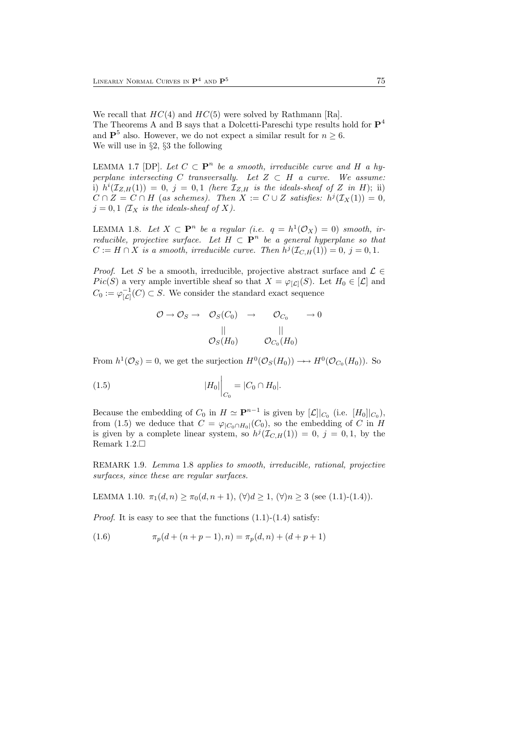We recall that  $HC(4)$  and  $HC(5)$  were solved by Rathmann [Ra]. The Theorems A and B says that a Dolcetti-Pareschi type results hold for  $\mathbf{P}^4$ and  $\mathbf{P}^5$  also. However, we do not expect a similar result for  $n \geq 6$ . We will use in §2, §3 the following

LEMMA 1.7 [DP]. Let  $C \subset \mathbf{P}^n$  be a smooth, irreducible curve and H a hyperplane intersecting C transversally. Let  $Z \subset H$  a curve. We assume: i)  $h^{i}(\mathcal{I}_{Z,H}(1)) = 0, j = 0,1$  (here  $\mathcal{I}_{Z,H}$  is the ideals-sheaf of Z in H); ii)  $C \cap Z = C \cap H$  (as schemes). Then  $X := C \cup Z$  satisfies:  $h^{j}(\mathcal{I}_{X}(1)) = 0$ ,  $j = 0, 1$  ( $\mathcal{I}_X$  is the ideals-sheaf of X).

LEMMA 1.8. Let  $X \subset \mathbf{P}^n$  be a regular (i.e.  $q = h^1(\mathcal{O}_X) = 0$ ) smooth, irreducible, projective surface. Let  $H \subset \mathbf{P}^n$  be a general hyperplane so that  $C := H \cap X$  is a smooth, irreducible curve. Then  $h^{j}(\mathcal{I}_{C,H}(1)) = 0, j = 0, 1$ .

*Proof.* Let S be a smooth, irreducible, projective abstract surface and  $\mathcal{L} \in$ Pic(S) a very ample invertible sheaf so that  $X = \varphi_{\lvert \mathcal{L} \rvert}(S)$ . Let  $H_0 \in \lvert \mathcal{L} \rvert$  and  $C_0 := \varphi_{[\mathcal{L}]}^{-1}(C) \subset S$ . We consider the standard exact sequence

$$
\begin{array}{cccc} \mathcal{O} \to \mathcal{O}_S \to & \mathcal{O}_S(C_0) & \to & \mathcal{O}_{C_0} & \to 0 \\ & & || & & || \\ & & & \mathcal{O}_S(H_0) & & \mathcal{O}_{C_0}(H_0) \end{array}
$$

From  $h^1(\mathcal{O}_S) = 0$ , we get the surjection  $H^0(\mathcal{O}_S(H_0)) \longrightarrow H^0(\mathcal{O}_{C_0}(H_0))$ . So

(1.5) 
$$
|H_0|\Big|_{C_0} = |C_0 \cap H_0|.
$$

Because the embedding of  $C_0$  in  $H \simeq \mathbf{P}^{n-1}$  is given by  $[\mathcal{L}]|_{C_0}$  (i.e.  $[H_0]|_{C_0}$ ), from (1.5) we deduce that  $C = \varphi_{|C_0 \cap H_0|}(C_0)$ , so the embedding of C in H is given by a complete linear system, so  $h^{j}(\mathcal{I}_{C,H}(1)) = 0$ ,  $j = 0, 1$ , by the Remark 1.2.

REMARK 1.9. Lemma 1.8 applies to smooth, irreducible, rational, projective surfaces, since these are regular surfaces.

LEMMA 1.10.  $\pi_1(d, n) \ge \pi_0(d, n + 1)$ ,  $(\forall) d \ge 1$ ,  $(\forall) n \ge 3$  (see (1.1)-(1.4)).

*Proof.* It is easy to see that the functions  $(1.1)-(1.4)$  satisfy:

(1.6) 
$$
\pi_p(d + (n+p-1), n) = \pi_p(d, n) + (d+p+1)
$$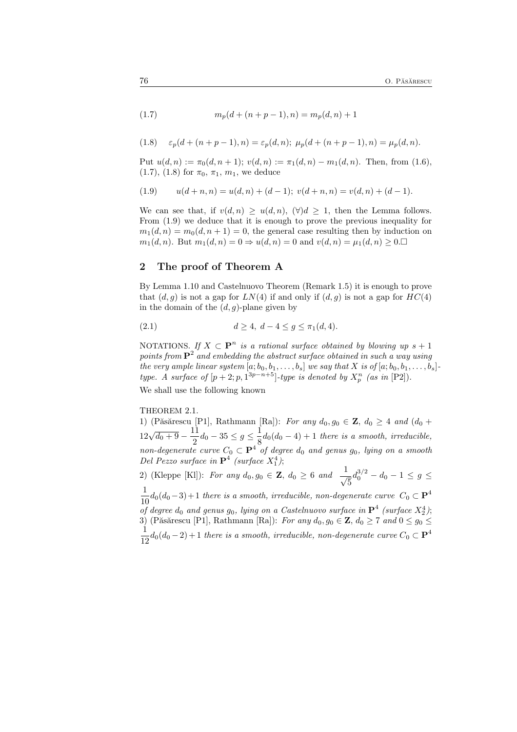(1.7) 
$$
m_p(d + (n+p-1), n) = m_p(d, n) + 1
$$

(1.8) 
$$
\varepsilon_p(d + (n+p-1), n) = \varepsilon_p(d, n); \ \mu_p(d + (n+p-1), n) = \mu_p(d, n).
$$

Put  $u(d, n) := \pi_0(d, n + 1); v(d, n) := \pi_1(d, n) - m_1(d, n).$  Then, from (1.6), (1.7), (1.8) for  $\pi_0$ ,  $\pi_1$ ,  $m_1$ , we deduce

$$
(1.9) \qquad u(d+n,n) = u(d,n) + (d-1); \ v(d+n,n) = v(d,n) + (d-1).
$$

We can see that, if  $v(d, n) \geq u(d, n)$ ,  $(\forall) d \geq 1$ , then the Lemma follows. From (1.9) we deduce that it is enough to prove the previous inequality for  $m_1(d, n) = m_0(d, n + 1) = 0$ , the general case resulting then by induction on  $m_1(d, n)$ . But  $m_1(d, n) = 0 \Rightarrow u(d, n) = 0$  and  $v(d, n) = \mu_1(d, n) \geq 0$ .

# 2 The proof of Theorem A

By Lemma 1.10 and Castelnuovo Theorem (Remark 1.5) it is enough to prove that  $(d, g)$  is not a gap for  $LN(4)$  if and only if  $(d, g)$  is not a gap for  $HC(4)$ in the domain of the  $(d, g)$ -plane given by

(2.1) 
$$
d \ge 4, d - 4 \le g \le \pi_1(d, 4).
$$

NOTATIONS. If  $X \subset \mathbf{P}^n$  is a rational surface obtained by blowing up  $s + 1$ points from  $\mathbf{P}^2$  and embedding the abstract surface obtained in such a way using the very ample linear system  $[a; b_0, b_1, \ldots, b_s]$  we say that X is of  $[a; b_0, b_1, \ldots, b_s]$ . type. A surface of  $[p+2; p, 1^{3p-n+5}]$ -type is denoted by  $X_p^n$  (as in  $[P2]$ ). We shall use the following known

#### THEOREM 2.1.

1) (Păsărescu [P1], Rathmann [Ra]): For any  $d_0, g_0 \in \mathbf{Z}, d_0 \geq 4$  and  $(d_0 +$  $12\sqrt{d_0+9}-\frac{11}{2}$  $\frac{11}{2}d_0 - 35 \leq g \leq \frac{1}{8}$  $\frac{1}{8}d_0(d_0-4)+1$  there is a smooth, irreducible, non-degenerate curve  $C_0 \subset \mathbf{P}^4$  of degree  $d_0$  and genus  $g_0$ , lying on a smooth Del Pezzo surface in  $\mathbf{P}^4$  (surface  $X_1^4$ ); 2) (Kleppe [Kl]): For any  $d_0, g_0 \in \mathbf{Z}, d_0 \geq 6$  and  $\frac{1}{\sqrt{5}} d_0^{3/2} - d_0 - 1 \leq g \leq$ 

 $\frac{1}{10}d_0(d_0-3)+1$  there is a smooth, irreducible, non-degenerate curve  $C_0 \subset \mathbf{P}^4$ 10<br>
of degree  $d_0$  and genus  $g_0$ , lying on a Castelnuovo surface in  $\mathbf{P}^4$  (surface  $X_2^4$ ); 3) (Păsărescu [P1], Rathmann [Ra]): For any  $d_0, g_0 \in \mathbf{Z}, d_0 \ge 7$  and  $0 \le g_0 \le$ <br> $\frac{1}{1}$  $\frac{1}{12}d_0(d_0-2)+1$  there is a smooth, irreducible, non-degenerate curve  $C_0 \subset \mathbf{P}^4$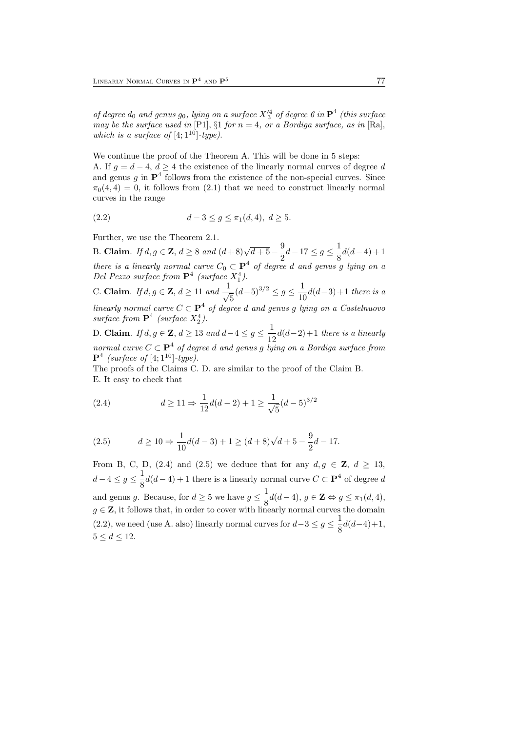of degree  $d_0$  and genus  $g_0$ , lying on a surface  $X'^4_3$  of degree 6 in  $\mathbf{P}^4$  (this surface may be the surface used in [P1],  $\S1$  for  $n = 4$ , or a Bordiga surface, as in [Ra], which is a surface of  $[4; 1^{10}]$ -type).

We continue the proof of the Theorem A. This will be done in 5 steps: A. If  $g = d - 4$ ,  $d \geq 4$  the existence of the linearly normal curves of degree d and genus  $g$  in  $\mathbf{P}^4$  follows from the existence of the non-special curves. Since  $\pi_0(4, 4) = 0$ , it follows from (2.1) that we need to construct linearly normal curves in the range

(2.2) 
$$
d-3 \le g \le \pi_1(d,4), d \ge 5.
$$

Further, we use the Theorem 2.1.

B. Claim. If  $d, g \in \mathbf{Z}$ ,  $d \ge 8$  and  $(d+8)\sqrt{d+5} - \frac{9}{2}d - 17 \le g \le \frac{1}{8}d(d-4) + 1$ there is a linearly normal curve  $C_0 \subset \mathbf{P}^4$  of degree d and genus g lying on a Del Pezzo surface from  $\mathbf{P}^4$  (surface  $X_1^4$ ).

C. Claim. *If d, g* ∈ **Z**, *d* ≥ 11 and  $\frac{1}{\sqrt{5}}(d-5)^{3/2}$  ≤ *g* ≤  $\frac{1}{10}$  $\frac{1}{10}d(d-3)+1$  there is a linearly normal curve  $C \subset \mathbf{P}^4$  of degree d and genus g lying on a Castelnuovo surface from  $\mathbf{P}^4$  (surface  $X_2^4$ ).

D. Claim. If  $d, g \in \mathbf{Z}$ ,  $d \geq 13$  and  $d-4 \leq g \leq \frac{1}{12}$  $\frac{1}{12}d(d-2)+1$  there is a linearly normal curve  $C \subset \mathbf{P}^4$  of degree d and genus g lying on a Bordiga surface from  ${\bf P}^4$  (surface of [4; 1<sup>10</sup>]-type).

The proofs of the Claims C. D. are similar to the proof of the Claim B. E. It easy to check that

(2.4) 
$$
d \ge 11 \Rightarrow \frac{1}{12}d(d-2) + 1 \ge \frac{1}{\sqrt{5}}(d-5)^{3/2}
$$

(2.5) 
$$
d \ge 10 \Rightarrow \frac{1}{10}d(d-3) + 1 \ge (d+8)\sqrt{d+5} - \frac{9}{2}d - 17.
$$

From B, C, D, (2.4) and (2.5) we deduce that for any  $d, g \in \mathbb{Z}$ ,  $d \geq 13$ ,  $d-4\leq g\leq \frac{1}{8}$  $\frac{1}{8}d(d-4) + 1$  there is a linearly normal curve  $C \subset \mathbf{P}^4$  of degree d and genus g. Because, for  $d \geq 5$  we have  $g \leq \frac{1}{8}d(d-4)$ ,  $g \in \mathbb{Z} \Leftrightarrow g \leq \pi_1(d, 4)$ ,  $g \in \mathbb{Z}$ , it follows that, in order to cover with linearly normal curves the domain (2.2), we need (use A. also) linearly normal curves for  $d-3 \leq g \leq \frac{1}{8}$  $\frac{1}{8}d(d-4)+1,$  $5 \leq d \leq 12$ .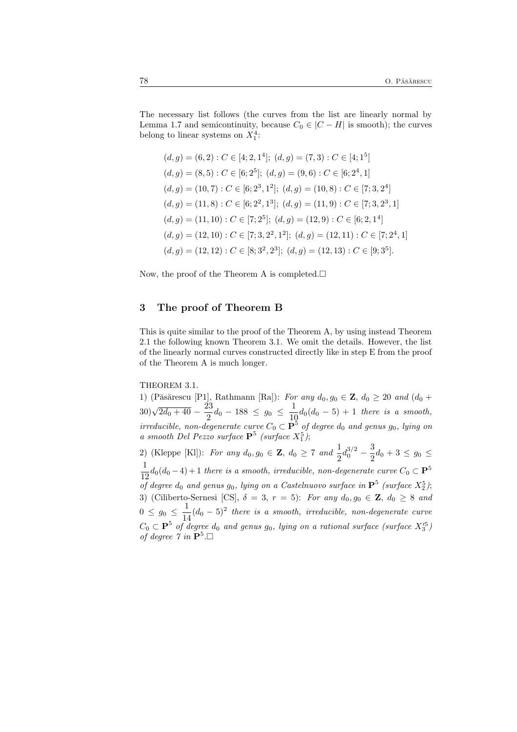The necessary list follows (the curves from the list are linearly normal by Lemma 1.7 and semicontinuity, because  $C_0 \in |C - H|$  is smooth); the curves belong to linear systems on  $X_1^4$ :

$$
(d, g) = (6, 2) : C \in [4; 2, 1^4]; (d, g) = (7, 3) : C \in [4; 1^5]
$$
\n
$$
(d, g) = (8, 5) : C \in [6; 2^5]; (d, g) = (9, 6) : C \in [6; 2^4, 1]
$$
\n
$$
(d, g) = (10, 7) : C \in [6; 2^3, 1^2]; (d, g) = (10, 8) : C \in [7; 3, 2^4]
$$
\n
$$
(d, g) = (11, 8) : C \in [6; 2^2, 1^3]; (d, g) = (11, 9) : C \in [7; 3, 2^3, 1]
$$
\n
$$
(d, g) = (11, 10) : C \in [7; 2^5]; (d, g) = (12, 9) : C \in [6; 2, 1^4]
$$
\n
$$
(d, g) = (12, 10) : C \in [7; 3, 2^2, 1^2]; (d, g) = (12, 11) : C \in [7; 2^4, 1]
$$
\n
$$
(d, g) = (12, 12) : C \in [8; 3^2, 2^3]; (d, g) = (12, 13) : C \in [9; 3^5].
$$

Now, the proof of the Theorem A is completed. $\square$ 

## 3 The proof of Theorem B

This is quite similar to the proof of the Theorem A, by using instead Theorem 2.1 the following known Theorem 3.1. We omit the details. However, the list of the linearly normal curves constructed directly like in step E from the proof of the Theorem A is much longer.

### THEOREM 3.1.

1) (Păsărescu [P1], Rathmann [Ra]): For any  $d_0, g_0 \in \mathbf{Z}, d_0 \geq 20$  and  $(d_0 +$  $(30)\sqrt{2d_0+40}-\frac{23}{2}$  $\frac{23}{2}d_0 - 188 \le g_0 \le \frac{1}{10}$  $\frac{1}{10}d_0(d_0-5)+1$  there is a smooth, irreducible, non-degenerate curve  $C_0 \subset \mathbf{P}^5$  of degree  $d_0$  and genus  $g_0$ , lying on a smooth Del Pezzo surface  $\mathbf{P}^5$  (surface  $X_1^5$ );

2) (Kleppe [Kl]): For any  $d_0, g_0 \in \mathbf{Z}, d_0 \ge 7$  and  $\frac{1}{2}d_0^{3/2}$  – 3  $\frac{3}{2}d_0 + 3 \le g_0 \le$ 1  $\frac{1}{12}d_0(d_0-4)+1$  there is a smooth, irreducible, non-degenerate curve  $C_0 \subset \mathbf{P}^5$ of degree  $d_0$  and genus  $g_0$ , lying on a Castelnuovo surface in  $\mathbf{P}^5$  (surface  $X_2^5$ ); 3) (Ciliberto-Sernesi [CS],  $\delta = 3$ ,  $r = 5$ ): For any  $d_0, g_0 \in \mathbb{Z}$ ,  $d_0 \geq 8$  and  $0 \le g_0 \le \frac{1}{14}$  $\frac{1}{14}(d_0-5)^2$  there is a smooth, irreducible, non-degenerate curve  $C_0 \subset \mathbf{P}^5$  of degree  $d_0$  and genus  $g_0$ , lying on a rational surface (surface  $X_3^5$ ) of degree  $\gamma$  in  $\mathbf{P}^5 \square$